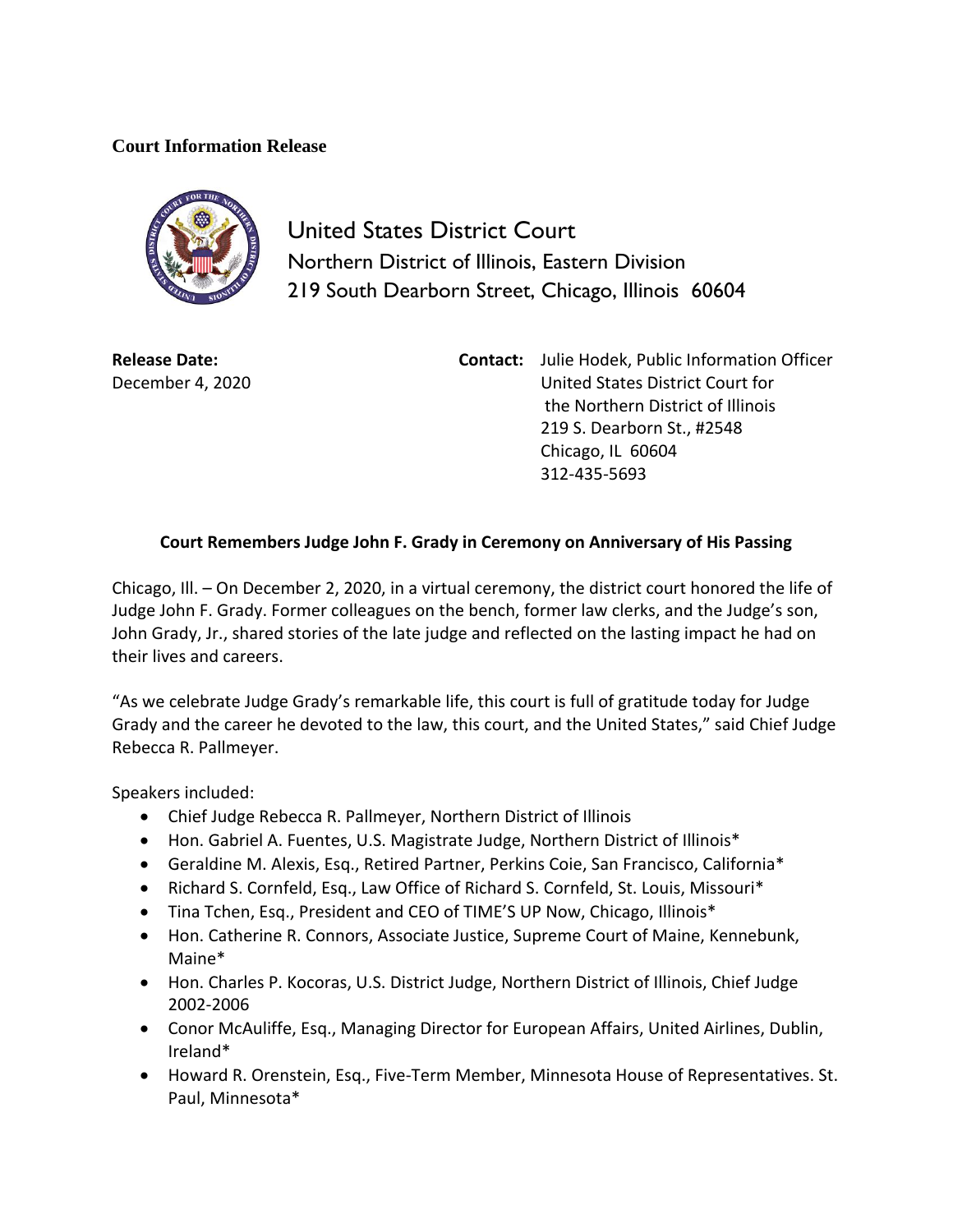## **Court Information Release**



United States District Court Northern District of Illinois, Eastern Division 219 South Dearborn Street, Chicago, Illinois 60604

**Release Date:** December 4, 2020

**Contact:** Julie Hodek, Public Information Officer United States District Court for the Northern District of Illinois 219 S. Dearborn St., #2548 Chicago, IL 60604 312-435-5693

## **Court Remembers Judge John F. Grady in Ceremony on Anniversary of His Passing**

Chicago, Ill. – On December 2, 2020, in a virtual ceremony, the district court honored the life of Judge John F. Grady. Former colleagues on the bench, former law clerks, and the Judge's son, John Grady, Jr., shared stories of the late judge and reflected on the lasting impact he had on their lives and careers.

"As we celebrate Judge Grady's remarkable life, this court is full of gratitude today for Judge Grady and the career he devoted to the law, this court, and the United States," said Chief Judge Rebecca R. Pallmeyer.

Speakers included:

- Chief Judge Rebecca R. Pallmeyer, Northern District of Illinois
- Hon. Gabriel A. Fuentes, U.S. Magistrate Judge, Northern District of Illinois\*
- Geraldine M. Alexis, Esq., Retired Partner, Perkins Coie, San Francisco, California\*
- Richard S. Cornfeld, Esq., Law Office of Richard S. Cornfeld, St. Louis, Missouri\*
- Tina Tchen, Esq., President and CEO of TIME'S UP Now, Chicago, Illinois\*
- Hon. Catherine R. Connors, Associate Justice, Supreme Court of Maine, Kennebunk, Maine\*
- Hon. Charles P. Kocoras, U.S. District Judge, Northern District of Illinois, Chief Judge 2002-2006
- Conor McAuliffe, Esq., Managing Director for European Affairs, United Airlines, Dublin, Ireland\*
- Howard R. Orenstein, Esq., Five-Term Member, Minnesota House of Representatives. St. Paul, Minnesota\*